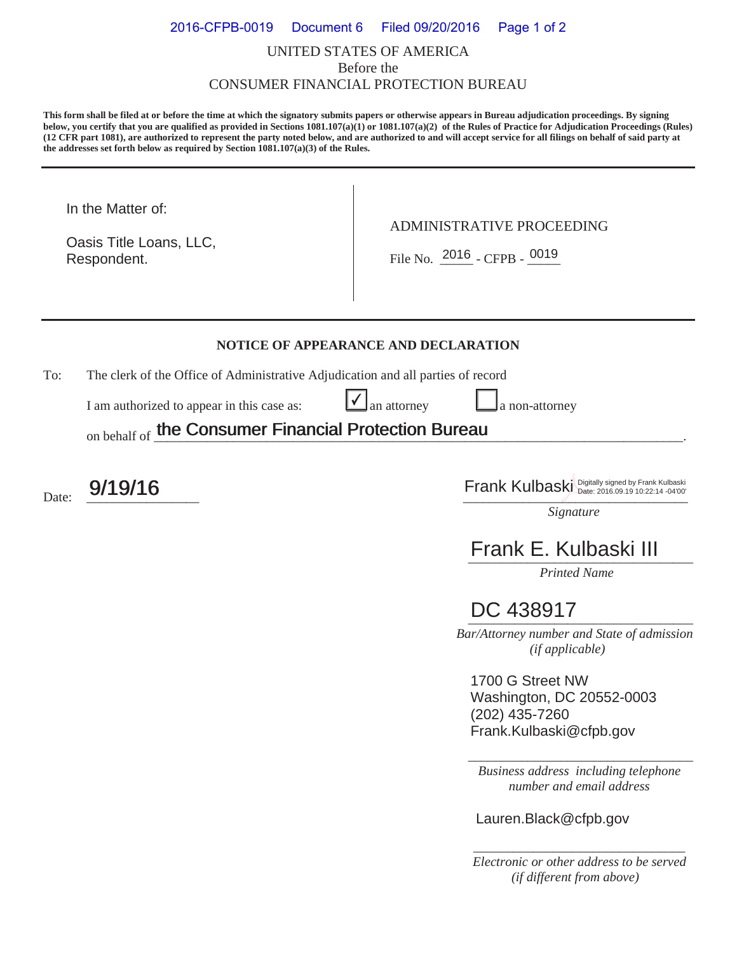### UNITED STATES OF AMERICA Before the CONSUMER FINANCIAL PROTECTION BUREAU 2016-CFPB-0019 Document 6 Filed 09/20/2016 Page 1 of 2

**This form shall be filed at or before the time at which the signatory submits papers or otherwise appears in Bureau adjudication proceedings. By signing below, you certify that you are qualified as provided in Sections 1081.107(a)(1) or 1081.107(a)(2) of the Rules of Practice for Adjudication Proceedings (Rules) (12 CFR part 1081), are authorized to represent the party noted below, and are authorized to and will accept service for all filings on behalf of said party at the addresses set forth below as required by Section 1081.107(a)(3) of the Rules.** 

In the Matter of:

Respondent. Oasis Title Loans, LLC, ADMINISTRATIVE PROCEEDING

Respondent.  $\begin{array}{|c|c|c|c|c|}\n\hline\n\text{File No.} & \text{2016 } - \text{CFPB -} & \text{0019}\n\end{array}$ 

#### **NOTICE OF APPEARANCE AND DECLARATION**

 $\checkmark$ 

To: The clerk of the Office of Administrative Adjudication and all parties of record

I am authorized to appear in this case as:  $\Box$  an attorney  $\Box$  a non-attorney

on behalf of the Consumer Financial Protection Bureau the Consumer Financial Protection Bureau

 $\mathsf{D}$ ate:  $\frac{9/19/16}{\frac{1}{\frac{1}{2} \cdot \frac{1}{2} \cdot 2^{14 \cdot 19}}$   $\frac{1}{2} \cdot \frac{1}{\frac{1}{2} \cdot 2^{14 \cdot 19}}$   $\frac{1}{\frac{1}{2} \cdot \frac{1}{2} \cdot 2^{14 \cdot 19}}$ 

*Signature* 

# *\_\_\_\_\_\_\_\_\_\_\_\_\_\_\_\_\_\_\_\_\_\_\_\_\_\_\_\_\_\_\_\_\_\_*  Frank E. Kulbaski III

*Printed Name* 

## DC 438917

 *Bar/Attorney number and State of admission (if applicable)*

1700 G Street NW Washington, DC 20552-0003 (202) 435-7260 Frank.Kulbaski@cfpb.gov

*Business address including telephone number and email address* 

\_\_\_\_\_\_\_\_\_\_\_\_\_\_\_\_\_\_\_\_\_\_\_\_\_\_\_\_\_\_\_\_\_\_

Lauren.Black@cfpb.gov

*\_\_\_\_\_\_\_\_\_\_\_\_\_\_\_\_\_\_\_\_\_\_\_\_\_\_\_\_\_\_\_\_ Electronic or other address to be served (if different from above)*